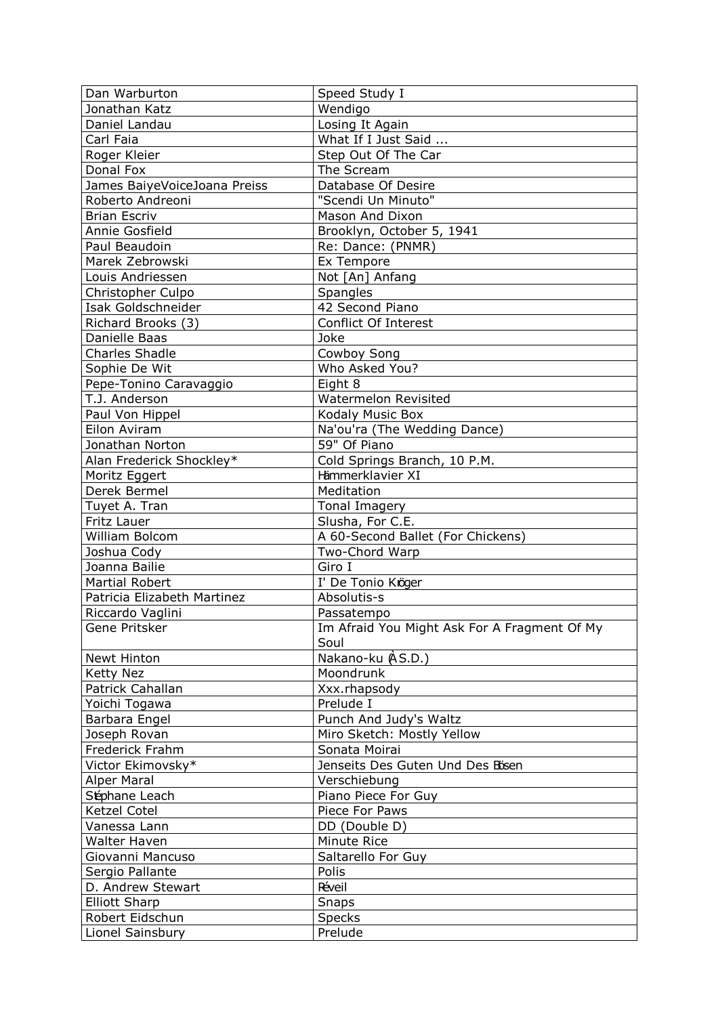| Dan Warburton                       | Speed Study I                                |
|-------------------------------------|----------------------------------------------|
| Jonathan Katz                       | Wendigo                                      |
| Daniel Landau                       | Losing It Again                              |
| Carl Faia                           | What If I Just Said                          |
| Roger Kleier                        | Step Out Of The Car                          |
| Donal Fox                           | The Scream                                   |
| James BaiyeVoiceJoana Preiss        | Database Of Desire                           |
| Roberto Andreoni                    | "Scendi Un Minuto"                           |
| <b>Brian Escriv</b>                 | Mason And Dixon                              |
| Annie Gosfield                      | Brooklyn, October 5, 1941                    |
| Paul Beaudoin                       | Re: Dance: (PNMR)                            |
| Marek Zebrowski                     | Ex Tempore                                   |
| Louis Andriessen                    | Not [An] Anfang                              |
| Christopher Culpo                   | Spangles                                     |
| Isak Goldschneider                  | 42 Second Piano                              |
| Richard Brooks (3)                  | Conflict Of Interest                         |
| Danielle Baas                       | Joke                                         |
| <b>Charles Shadle</b>               | Cowboy Song                                  |
| Sophie De Wit                       | Who Asked You?                               |
| Pepe-Tonino Caravaggio              | Eight 8                                      |
| T.J. Anderson                       | Watermelon Revisited                         |
| Paul Von Hippel                     | Kodaly Music Box                             |
| Eilon Aviram                        | Na'ou'ra (The Wedding Dance)                 |
|                                     | 59" Of Piano                                 |
| Jonathan Norton                     | Cold Springs Branch, 10 P.M.                 |
| Alan Frederick Shockley*            | Hämmerklavier XI                             |
| Moritz Eggert<br>Derek Bermel       |                                              |
|                                     | Meditation                                   |
| Tuyet A. Tran                       | <b>Tonal Imagery</b>                         |
|                                     |                                              |
| Fritz Lauer                         | Slusha, For C.E.                             |
| William Bolcom                      | A 60-Second Ballet (For Chickens)            |
| Joshua Cody                         | Two-Chord Warp                               |
| Joanna Bailie                       | Giro I                                       |
| <b>Martial Robert</b>               | I' De Tonio Kröger                           |
| Patricia Elizabeth Martinez         | Absolutis-s                                  |
| Riccardo Vaglini                    | Passatempo                                   |
| Gene Pritsker                       | Im Afraid You Might Ask For A Fragment Of My |
|                                     | Soul                                         |
| Newt Hinton                         | Nakano-ku (AS.D.)                            |
| <b>Ketty Nez</b>                    | Moondrunk                                    |
| Patrick Cahallan                    | Xxx.rhapsody                                 |
| Yoichi Togawa                       | Prelude I                                    |
| Barbara Engel                       | Punch And Judy's Waltz                       |
| Joseph Rovan                        | Miro Sketch: Mostly Yellow                   |
| Frederick Frahm                     | Sonata Moirai                                |
| Victor Ekimovsky*                   | Jenseits Des Guten Und Des Bösen             |
| <b>Alper Maral</b>                  | Verschiebung                                 |
| Séphane Leach                       | Piano Piece For Guy                          |
| Ketzel Cotel                        | Piece For Paws                               |
| Vanessa Lann                        | DD (Double D)                                |
| Walter Haven                        | Minute Rice                                  |
| Giovanni Mancuso                    | Saltarello For Guy                           |
| Sergio Pallante                     | Polis                                        |
| D. Andrew Stewart                   | Réveil                                       |
| <b>Elliott Sharp</b>                | <b>Snaps</b>                                 |
| Robert Eidschun<br>Lionel Sainsbury | <b>Specks</b>                                |